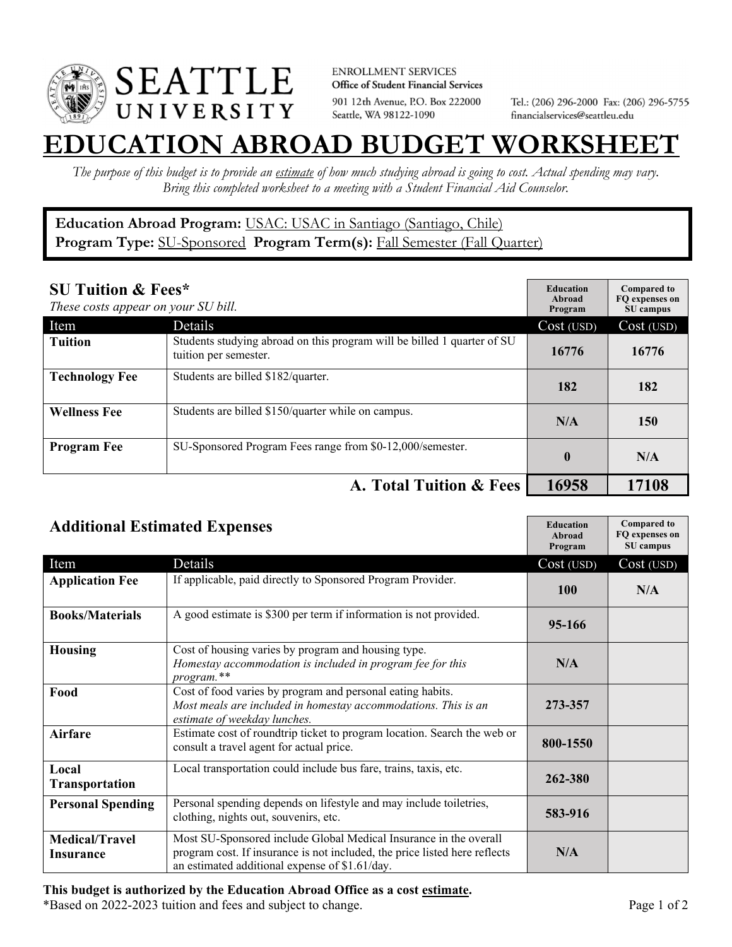

**ENROLLMENT SERVICES** Office of Student Financial Services 901 12th Avenue, P.O. Box 222000 Seattle, WA 98122-1090

Tel.: (206) 296-2000 Fax: (206) 296-5755 financialservices@seattleu.edu

## **EATION ABROAD BUDGET WORKSHEE**

*The purpose of this budget is to provide an estimate of how much studying abroad is going to cost. Actual spending may vary. Bring this completed worksheet to a meeting with a Student Financial Aid Counselor.* 

## **Education Abroad Program:** USAC: USAC in Santiago (Santiago, Chile) Program Type: **SU-Sponsored** Program Term(s): **Fall Semester (Fall Quarter)**

| <b>SU Tuition &amp; Fees*</b><br>These costs appear on your SU bill. |                                                                                                  | <b>Education</b><br>Abroad<br>Program | <b>Compared to</b><br>FO expenses on<br>SU campus |
|----------------------------------------------------------------------|--------------------------------------------------------------------------------------------------|---------------------------------------|---------------------------------------------------|
| Item                                                                 | Details                                                                                          | Cost (USD)                            | Cost (USD)                                        |
| <b>Tuition</b>                                                       | Students studying abroad on this program will be billed 1 quarter of SU<br>tuition per semester. | 16776                                 | 16776                                             |
| <b>Technology Fee</b>                                                | Students are billed \$182/quarter.                                                               | 182                                   | 182                                               |
| <b>Wellness Fee</b>                                                  | Students are billed \$150/quarter while on campus.                                               | N/A                                   | 150                                               |
| <b>Program Fee</b>                                                   | SU-Sponsored Program Fees range from \$0-12,000/semester.                                        | $\mathbf{0}$                          | N/A                                               |
|                                                                      | A. Total Tuition & Fees                                                                          | 16958                                 | 17108                                             |

| <b>Additional Estimated Expenses</b> |                                                                                                                                                                                                   | <b>Education</b><br>Abroad<br>Program | <b>Compared to</b><br>FQ expenses on<br>SU campus |
|--------------------------------------|---------------------------------------------------------------------------------------------------------------------------------------------------------------------------------------------------|---------------------------------------|---------------------------------------------------|
| Item                                 | Details                                                                                                                                                                                           | Cost (USD)                            | Cost (USD)                                        |
| <b>Application Fee</b>               | If applicable, paid directly to Sponsored Program Provider.                                                                                                                                       | <b>100</b>                            | N/A                                               |
| <b>Books/Materials</b>               | A good estimate is \$300 per term if information is not provided.                                                                                                                                 | 95-166                                |                                                   |
| <b>Housing</b>                       | Cost of housing varies by program and housing type.<br>Homestay accommodation is included in program fee for this<br>program.**                                                                   | N/A                                   |                                                   |
| Food                                 | Cost of food varies by program and personal eating habits.<br>Most meals are included in homestay accommodations. This is an<br>estimate of weekday lunches.                                      | 273-357                               |                                                   |
| <b>Airfare</b>                       | Estimate cost of roundtrip ticket to program location. Search the web or<br>consult a travel agent for actual price.                                                                              | 800-1550                              |                                                   |
| Local<br>Transportation              | Local transportation could include bus fare, trains, taxis, etc.                                                                                                                                  | 262-380                               |                                                   |
| <b>Personal Spending</b>             | Personal spending depends on lifestyle and may include toiletries,<br>clothing, nights out, souvenirs, etc.                                                                                       | 583-916                               |                                                   |
| <b>Medical/Travel</b><br>Insurance   | Most SU-Sponsored include Global Medical Insurance in the overall<br>program cost. If insurance is not included, the price listed here reflects<br>an estimated additional expense of \$1.61/day. | N/A                                   |                                                   |

\*Based on 2022-2023 tuition and fees and subject to change. Page 1 of 2